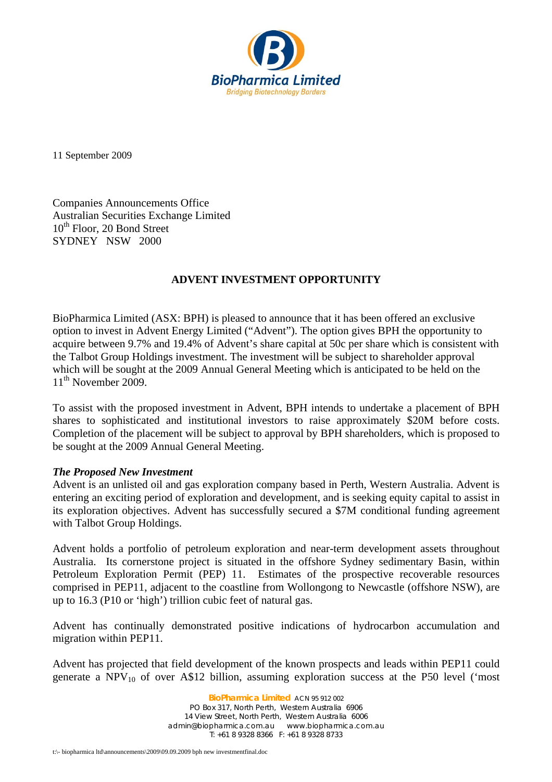

11 September 2009

Companies Announcements Office Australian Securities Exchange Limited  $10^{th}$  Floor, 20 Bond Street SYDNEY NSW 2000

## **ADVENT INVESTMENT OPPORTUNITY**

BioPharmica Limited (ASX: BPH) is pleased to announce that it has been offered an exclusive option to invest in Advent Energy Limited ("Advent"). The option gives BPH the opportunity to acquire between 9.7% and 19.4% of Advent's share capital at 50c per share which is consistent with the Talbot Group Holdings investment. The investment will be subject to shareholder approval which will be sought at the 2009 Annual General Meeting which is anticipated to be held on the  $11<sup>th</sup>$  November 2009.

To assist with the proposed investment in Advent, BPH intends to undertake a placement of BPH shares to sophisticated and institutional investors to raise approximately \$20M before costs. Completion of the placement will be subject to approval by BPH shareholders, which is proposed to be sought at the 2009 Annual General Meeting.

### *The Proposed New Investment*

Advent is an unlisted oil and gas exploration company based in Perth, Western Australia. Advent is entering an exciting period of exploration and development, and is seeking equity capital to assist in its exploration objectives. Advent has successfully secured a \$7M conditional funding agreement with Talbot Group Holdings.

Advent holds a portfolio of petroleum exploration and near-term development assets throughout Australia. Its cornerstone project is situated in the offshore Sydney sedimentary Basin, within Petroleum Exploration Permit (PEP) 11. Estimates of the prospective recoverable resources comprised in PEP11, adjacent to the coastline from Wollongong to Newcastle (offshore NSW), are up to 16.3 (P10 or 'high') trillion cubic feet of natural gas.

Advent has continually demonstrated positive indications of hydrocarbon accumulation and migration within PEP11.

Advent has projected that field development of the known prospects and leads within PEP11 could generate a  $NPV_{10}$  of over A\$12 billion, assuming exploration success at the P50 level ('most